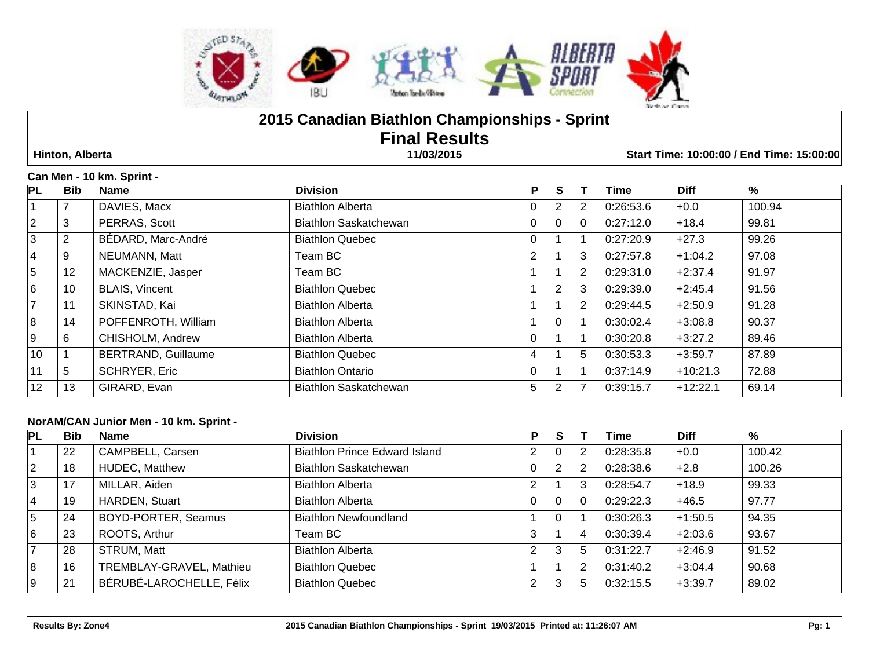

# **2015 Canadian Biathlon Championships - Sprint Final Results**

 **Hinton, Alberta 11/03/2015 Start Time: 10:00:00 / End Time: 15:00:00**

### **Can Men - 10 km. Sprint -**

| <b>PL</b>      | <b>Bib</b>      | <b>Name</b>                | <b>Division</b>              | P              |                |   | Time      | <b>Diff</b> | $\%$   |
|----------------|-----------------|----------------------------|------------------------------|----------------|----------------|---|-----------|-------------|--------|
|                |                 | DAVIES, Macx               | <b>Biathlon Alberta</b>      | 0              | 2              | 2 | 0:26:53.6 | $+0.0$      | 100.94 |
| $\overline{2}$ | 3               | PERRAS, Scott              | Biathlon Saskatchewan        | 0              | $\Omega$       | 0 | 0:27:12.0 | $+18.4$     | 99.81  |
| 3              | 2               | BÉDARD, Marc-André         | <b>Biathlon Quebec</b>       | 0              |                |   | 0:27:20.9 | $+27.3$     | 99.26  |
| 4              | 9               | NEUMANN, Matt              | Team BC                      | $\overline{2}$ |                | 3 | 0:27:57.8 | $+1:04.2$   | 97.08  |
| 5              | 12 <sub>2</sub> | MACKENZIE, Jasper          | Team BC                      |                |                | 2 | 0:29:31.0 | $+2:37.4$   | 91.97  |
| 6              | 10              | <b>BLAIS, Vincent</b>      | <b>Biathlon Quebec</b>       |                | $\overline{2}$ | 3 | 0:29:39.0 | $+2:45.4$   | 91.56  |
| $\overline{7}$ | 11              | SKINSTAD, Kai              | <b>Biathlon Alberta</b>      |                |                | 2 | 0:29:44.5 | $+2:50.9$   | 91.28  |
| 8              | 14              | POFFENROTH, William        | <b>Biathlon Alberta</b>      |                | $\Omega$       |   | 0:30:02.4 | $+3:08.8$   | 90.37  |
| l 9            | 6               | CHISHOLM, Andrew           | <b>Biathlon Alberta</b>      | 0              |                |   | 0:30:20.8 | $+3:27.2$   | 89.46  |
| 10             |                 | <b>BERTRAND, Guillaume</b> | <b>Biathlon Quebec</b>       | 4              |                | 5 | 0:30:53.3 | $+3:59.7$   | 87.89  |
| 11             | 5               | <b>SCHRYER, Eric</b>       | <b>Biathlon Ontario</b>      | $\Omega$       |                |   | 0:37:14.9 | $+10:21.3$  | 72.88  |
| 12             | 13              | GIRARD, Evan               | <b>Biathlon Saskatchewan</b> | 5              | 2              |   | 0:39:15.7 | $+12:22.1$  | 69.14  |

### **NorAM/CAN Junior Men - 10 km. Sprint -**

| PL             | <b>Bib</b> | <b>Name</b>              | <b>Division</b>                      | P              | S              |          | <b>Time</b> | <b>Diff</b> | %      |
|----------------|------------|--------------------------|--------------------------------------|----------------|----------------|----------|-------------|-------------|--------|
|                | 22         | CAMPBELL, Carsen         | <b>Biathlon Prince Edward Island</b> | $\overline{2}$ | 0              | 2        | 0:28:35.8   | $+0.0$      | 100.42 |
| $ 2\rangle$    | 18         | <b>HUDEC, Matthew</b>    | Biathlon Saskatchewan                | $\Omega$       | $\overline{2}$ | 2        | 0:28:38.6   | $+2.8$      | 100.26 |
| 3              | 17         | MILLAR, Aiden            | <b>Biathlon Alberta</b>              | 2              |                | 3        | 0:28:54.7   | $+18.9$     | 99.33  |
| $\overline{4}$ | 19         | HARDEN, Stuart           | <b>Biathlon Alberta</b>              | 0              | 0              | $\Omega$ | 0:29:22.3   | $+46.5$     | 97.77  |
| 5              | 24         | BOYD-PORTER, Seamus      | <b>Biathlon Newfoundland</b>         |                | 0              |          | 0:30:26.3   | $+1:50.5$   | 94.35  |
| 6              | 23         | ROOTS, Arthur            | Team BC                              | 3              |                | 4        | 0:30:39.4   | $+2:03.6$   | 93.67  |
| 7              | 28         | STRUM, Matt              | <b>Biathlon Alberta</b>              | $\overline{2}$ | 3              | 5        | 0:31:22.7   | $+2:46.9$   | 91.52  |
| 8              | 16         | TREMBLAY-GRAVEL, Mathieu | <b>Biathlon Quebec</b>               |                |                | 2        | 0:31:40.2   | $+3:04.4$   | 90.68  |
| l 9            | 21         | BÉRUBÉ-LAROCHELLE, Félix | <b>Biathlon Quebec</b>               | 2              | 3              | 5        | 0:32:15.5   | $+3:39.7$   | 89.02  |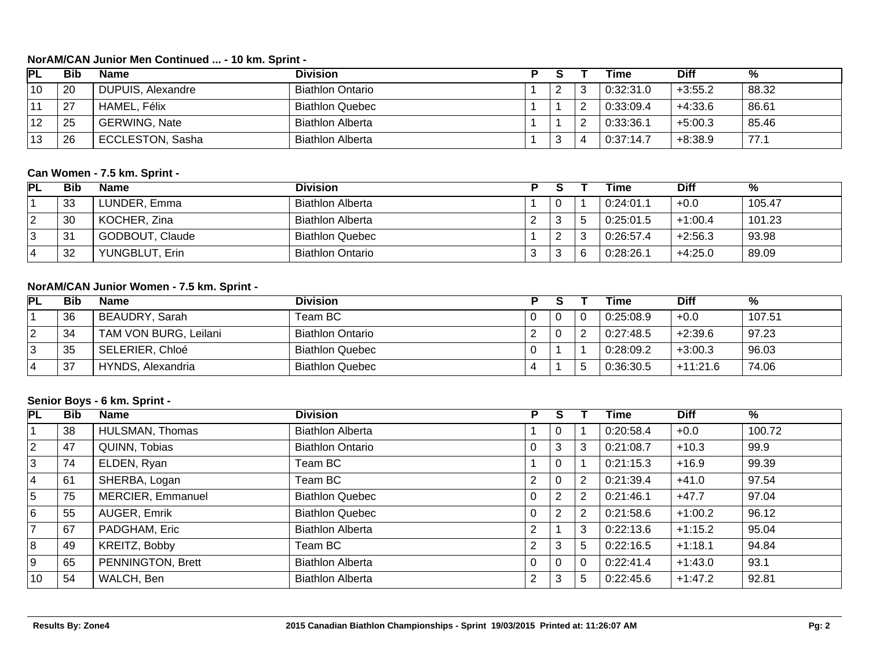### **NorAM/CAN Junior Men Continued ... - 10 km. Sprint -**

| PL | Bib | <b>Name</b>             | Division                |          | Time      | Diff      | %     |
|----|-----|-------------------------|-------------------------|----------|-----------|-----------|-------|
| 10 | 20  | DUPUIS, Alexandre       | <b>Biathlon Ontario</b> | <u>_</u> | 0:32:31.0 | $+3:55.2$ | 88.32 |
|    | 27  | HAMEL, Félix            | <b>Biathlon Quebec</b>  |          | 0:33:09.4 | $+4:33.6$ | 86.61 |
| 12 | 25  | <b>GERWING, Nate</b>    | <b>Biathlon Alberta</b> |          | 0:33:36.1 | $+5:00.3$ | 85.46 |
| 13 | 26  | <b>ECCLESTON, Sasha</b> | Biathlon Alberta        | Ñ        | 0:37:14.7 | $+8:38.9$ | 77.1  |

### **Can Women - 7.5 km. Sprint -**

| PL | <b>Bib</b> | <b>Name</b>     | <b>Division</b>         |             |    | Time      | <b>Diff</b> | %      |
|----|------------|-----------------|-------------------------|-------------|----|-----------|-------------|--------|
|    | 33         | LUNDER, Emma    | <b>Biathlon Alberta</b> |             | -0 | 0:24:01.1 | $+0.0$      | 105.47 |
|    | 30         | KOCHER, Zina    | <b>Biathlon Alberta</b> | $\sim$<br>▴ |    | 0:25:01.5 | $+1:00.4$   | 101.23 |
|    | 31         | GODBOUT, Claude | <b>Biathlon Quebec</b>  |             | ∼  | 0:26:57.4 | $+2:56.3$   | 93.98  |
|    | 32         | YUNGBLUT, Erin  | <b>Biathlon Ontario</b> | ົ<br>ັ      |    | 0:28:26.1 | $+4:25.0$   | 89.09  |

# **NorAM/CAN Junior Women - 7.5 km. Sprint -**

| PL | Bib       | <b>Name</b>           | Division                |   |  | Time      | <b>Diff</b> |        |
|----|-----------|-----------------------|-------------------------|---|--|-----------|-------------|--------|
|    | 36        | BEAUDRY, Sarah        | Team BC                 |   |  | 0:25:08.9 | $+0.0$      | 107.51 |
| 2  | 34        | TAM VON BURG, Leilani | <b>Biathlon Ontario</b> | ∠ |  | 0:27:48.5 | $+2:39.6$   | 97.23  |
| 3  | つに<br>ັບປ | SELERIER, Chloé       | <b>Biathlon Quebec</b>  |   |  | 0:28:09.2 | $+3:00.3$   | 96.03  |
| 4  | 37        | HYNDS, Alexandria     | <b>Biathlon Quebec</b>  |   |  | 0.36:30.5 | $+11:21.6$  | 74.06  |

### **Senior Boys - 6 km. Sprint -**

| PL             | <b>Bib</b> | Name              | <b>Division</b>         | P              |   |   | Time      | <b>Diff</b> | %      |
|----------------|------------|-------------------|-------------------------|----------------|---|---|-----------|-------------|--------|
|                | 38         | HULSMAN, Thomas   | <b>Biathlon Alberta</b> |                | 0 |   | 0:20:58.4 | $+0.0$      | 100.72 |
| $ 2\rangle$    | 47         | QUINN, Tobias     | <b>Biathlon Ontario</b> | 0              | 3 | 3 | 0:21:08.7 | $+10.3$     | 99.9   |
| 3              | 74         | ELDEN, Ryan       | Team BC                 |                | 0 |   | 0:21:15.3 | $+16.9$     | 99.39  |
| 4              | 61         | SHERBA, Logan     | Team BC                 | $\overline{2}$ | 0 | 2 | 0:21:39.4 | $+41.0$     | 97.54  |
| 5              | 75         | MERCIER, Emmanuel | <b>Biathlon Quebec</b>  | 0              | 2 | 2 | 0:21:46.1 | $+47.7$     | 97.04  |
| 6              | 55         | AUGER, Emrik      | <b>Biathlon Quebec</b>  | $\mathbf 0$    | 2 | 2 | 0:21:58.6 | $+1:00.2$   | 96.12  |
| $\overline{7}$ | 67         | PADGHAM, Eric     | <b>Biathlon Alberta</b> | $\overline{2}$ |   | 3 | 0:22:13.6 | $+1:15.2$   | 95.04  |
| 8              | 49         | KREITZ, Bobby     | Team BC                 | $\overline{2}$ | 3 | 5 | 0:22:16.5 | $+1:18.1$   | 94.84  |
| l 9            | 65         | PENNINGTON, Brett | <b>Biathlon Alberta</b> | 0              | 0 | 0 | 0:22:41.4 | $+1:43.0$   | 93.1   |
| 10             | 54         | WALCH, Ben        | <b>Biathlon Alberta</b> | $\overline{2}$ | 3 | 5 | 0:22:45.6 | $+1:47.2$   | 92.81  |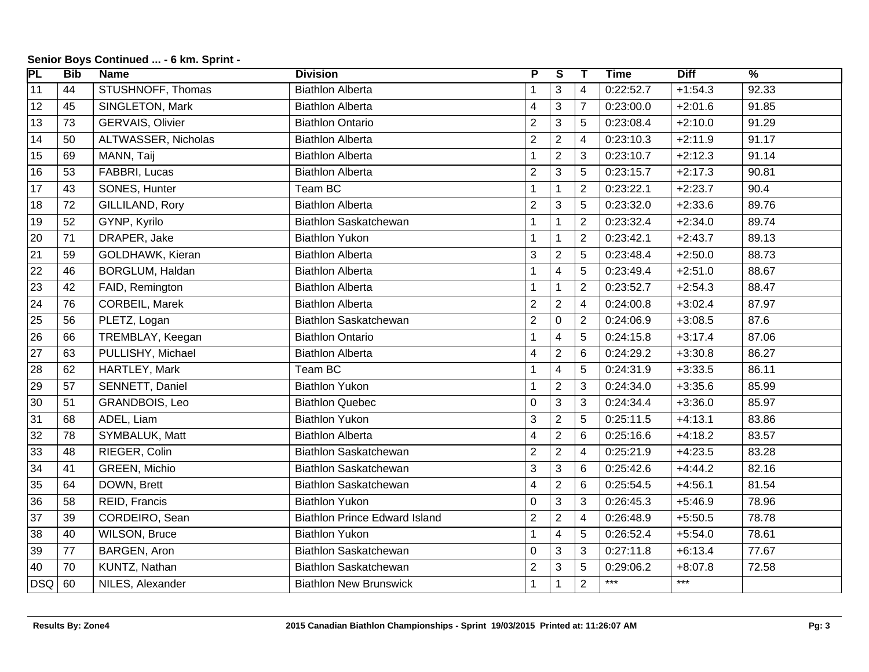| $\overline{\mathsf{PL}}$ | <b>Bib</b> | <b>Name</b>             | <b>Division</b>                      | P                       | ड              | Т              | <b>Time</b> | <b>Diff</b> | $\frac{9}{6}$ |
|--------------------------|------------|-------------------------|--------------------------------------|-------------------------|----------------|----------------|-------------|-------------|---------------|
| $\overline{11}$          | 44         | STUSHNOFF, Thomas       | <b>Biathlon Alberta</b>              | 1                       | 3              | 4              | 0:22:52.7   | $+1:54.3$   | 92.33         |
| 12                       | 45         | SINGLETON, Mark         | <b>Biathlon Alberta</b>              | $\overline{\mathbf{4}}$ | $\mathfrak{S}$ | $\overline{7}$ | 0:23:00.0   | $+2:01.6$   | 91.85         |
| 13                       | 73         | <b>GERVAIS, Olivier</b> | <b>Biathlon Ontario</b>              | $\overline{2}$          | $\mathbf{3}$   | 5              | 0:23:08.4   | $+2:10.0$   | 91.29         |
| 14                       | 50         | ALTWASSER, Nicholas     | <b>Biathlon Alberta</b>              | $\overline{2}$          | $\overline{2}$ | 4              | 0:23:10.3   | $+2:11.9$   | 91.17         |
| 15                       | 69         | MANN, Taij              | <b>Biathlon Alberta</b>              | $\mathbf{1}$            | $\overline{2}$ | 3              | 0:23:10.7   | $+2:12.3$   | 91.14         |
| 16                       | 53         | FABBRI, Lucas           | <b>Biathlon Alberta</b>              | $\overline{2}$          | $\mathbf{3}$   | 5              | 0:23:15.7   | $+2:17.3$   | 90.81         |
| 17                       | 43         | SONES, Hunter           | Team BC                              | $\mathbf{1}$            | $\mathbf{1}$   | $\overline{2}$ | 0:23:22.1   | $+2:23.7$   | 90.4          |
| 18                       | 72         | GILLILAND, Rory         | <b>Biathlon Alberta</b>              | $\overline{2}$          | $\mathbf{3}$   | 5              | 0:23:32.0   | $+2:33.6$   | 89.76         |
| 19                       | 52         | GYNP, Kyrilo            | <b>Biathlon Saskatchewan</b>         | $\mathbf{1}$            | $\mathbf{1}$   | $\overline{2}$ | 0:23:32.4   | $+2:34.0$   | 89.74         |
| 20                       | 71         | DRAPER, Jake            | <b>Biathlon Yukon</b>                | $\mathbf{1}$            | $\mathbf{1}$   | $\overline{2}$ | 0:23:42.1   | $+2:43.7$   | 89.13         |
| 21                       | 59         | GOLDHAWK, Kieran        | <b>Biathlon Alberta</b>              | 3                       | $\overline{2}$ | 5              | 0:23:48.4   | $+2:50.0$   | 88.73         |
| $\overline{22}$          | 46         | <b>BORGLUM, Haldan</b>  | <b>Biathlon Alberta</b>              | 1                       | $\overline{4}$ | 5              | 0:23:49.4   | $+2:51.0$   | 88.67         |
| 23                       | 42         | FAID, Remington         | <b>Biathlon Alberta</b>              | $\mathbf{1}$            | $\mathbf{1}$   | $\overline{2}$ | 0:23:52.7   | $+2:54.3$   | 88.47         |
| 24                       | 76         | CORBEIL, Marek          | <b>Biathlon Alberta</b>              | $\overline{2}$          | $\overline{2}$ | 4              | 0:24:00.8   | $+3:02.4$   | 87.97         |
| 25                       | 56         | PLETZ, Logan            | <b>Biathlon Saskatchewan</b>         | $\overline{2}$          | $\mathbf 0$    | $\overline{2}$ | 0:24:06.9   | $+3:08.5$   | 87.6          |
| 26                       | 66         | TREMBLAY, Keegan        | <b>Biathlon Ontario</b>              | 1                       | $\overline{4}$ | 5              | 0:24:15.8   | $+3:17.4$   | 87.06         |
| 27                       | 63         | PULLISHY, Michael       | <b>Biathlon Alberta</b>              | $\overline{\mathbf{4}}$ | $\overline{2}$ | 6              | 0:24:29.2   | $+3:30.8$   | 86.27         |
| 28                       | 62         | HARTLEY, Mark           | Team BC                              | 1                       | $\overline{4}$ | 5              | 0:24:31.9   | $+3:33.5$   | 86.11         |
| 29                       | 57         | SENNETT, Daniel         | <b>Biathlon Yukon</b>                | $\mathbf{1}$            | $\overline{2}$ | 3              | 0:24:34.0   | $+3:35.6$   | 85.99         |
| 30                       | 51         | GRANDBOIS, Leo          | <b>Biathlon Quebec</b>               | 0                       | $\mathbf{3}$   | 3              | 0:24:34.4   | $+3:36.0$   | 85.97         |
| 31                       | 68         | ADEL, Liam              | <b>Biathlon Yukon</b>                | 3                       | $\overline{2}$ | 5              | 0:25:11.5   | $+4:13.1$   | 83.86         |
| 32                       | 78         | SYMBALUK, Matt          | <b>Biathlon Alberta</b>              | $\overline{\mathbf{4}}$ | $\overline{2}$ | $6\phantom{1}$ | 0:25:16.6   | $+4:18.2$   | 83.57         |
| 33                       | 48         | RIEGER, Colin           | Biathlon Saskatchewan                | $\overline{2}$          | $\overline{2}$ | $\overline{4}$ | 0:25:21.9   | $+4:23.5$   | 83.28         |
| 34                       | 41         | GREEN, Michio           | <b>Biathlon Saskatchewan</b>         | 3                       | $\mathbf{3}$   | 6              | 0:25:42.6   | $+4:44.2$   | 82.16         |
| 35                       | 64         | DOWN, Brett             | Biathlon Saskatchewan                | $\overline{\mathbf{4}}$ | $\overline{2}$ | $\,6$          | 0:25:54.5   | $+4:56.1$   | 81.54         |
| 36                       | 58         | REID, Francis           | <b>Biathlon Yukon</b>                | 0                       | $\mathbf{3}$   | 3              | 0:26:45.3   | $+5:46.9$   | 78.96         |
| 37                       | 39         | CORDEIRO, Sean          | <b>Biathlon Prince Edward Island</b> | $\overline{2}$          | $\overline{2}$ | $\overline{4}$ | 0:26:48.9   | $+5:50.5$   | 78.78         |
| 38                       | 40         | <b>WILSON, Bruce</b>    | <b>Biathlon Yukon</b>                | $\mathbf{1}$            | $\overline{4}$ | 5              | 0:26:52.4   | $+5:54.0$   | 78.61         |
| 39                       | 77         | BARGEN, Aron            | Biathlon Saskatchewan                | 0                       | $\mathbf{3}$   | 3              | 0:27:11.8   | $+6:13.4$   | 77.67         |
| 40                       | 70         | KUNTZ, Nathan           | Biathlon Saskatchewan                | $\overline{2}$          | 3              | 5              | 0:29:06.2   | $+8:07.8$   | 72.58         |
| <b>DSQ</b>               | 60         | NILES, Alexander        | <b>Biathlon New Brunswick</b>        | $\mathbf 1$             | $\mathbf{1}$   | $\overline{2}$ | $***$       | $***$       |               |

## **Senior Boys Continued ... - 6 km. Sprint -**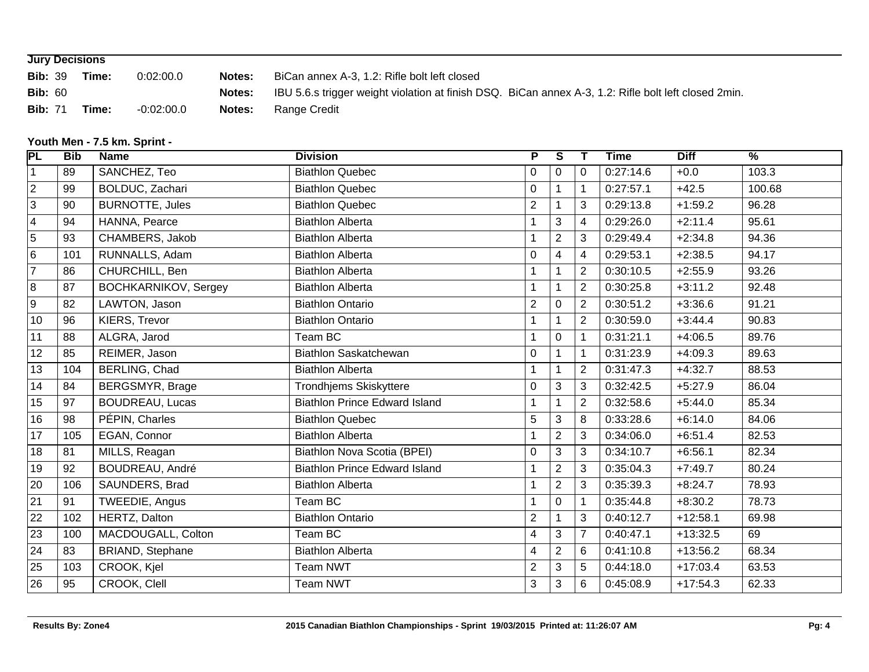|                | <b>Jury Decisions</b> |            |        |                                                                                                      |  |  |  |  |  |  |  |  |
|----------------|-----------------------|------------|--------|------------------------------------------------------------------------------------------------------|--|--|--|--|--|--|--|--|
| <b>Bib: 39</b> | Time:                 | 0:02:00.0  | Notes: | BiCan annex A-3, 1.2: Rifle bolt left closed                                                         |  |  |  |  |  |  |  |  |
| <b>Bib: 60</b> |                       |            | Notes: | IBU 5.6.s trigger weight violation at finish DSQ. BiCan annex A-3, 1.2: Rifle bolt left closed 2min. |  |  |  |  |  |  |  |  |
| <b>Bib: 71</b> | Time:                 | -0:02:00.0 | Notes: | Range Credit                                                                                         |  |  |  |  |  |  |  |  |

# **Youth Men - 7.5 km. Sprint -**

|     |                             |                                      |                         |                      | $\mathbf{T}$   |           |             | $\frac{1}{2}$ |
|-----|-----------------------------|--------------------------------------|-------------------------|----------------------|----------------|-----------|-------------|---------------|
| 89  | SANCHEZ, Teo                | <b>Biathlon Quebec</b>               | $\pmb{0}$               | $\mathbf{0}$         | $\Omega$       | 0:27:14.6 | $+0.0$      | 103.3         |
| 99  | BOLDUC, Zachari             | <b>Biathlon Quebec</b>               | $\pmb{0}$               |                      | 1              | 0:27:57.1 | $+42.5$     | 100.68        |
| 90  | <b>BURNOTTE, Jules</b>      | <b>Biathlon Quebec</b>               | $\overline{2}$          |                      | 3              | 0:29:13.8 | $+1:59.2$   | 96.28         |
| 94  | HANNA, Pearce               | <b>Biathlon Alberta</b>              | $\mathbf{1}$            | 3                    | $\overline{4}$ | 0:29:26.0 | $+2:11.4$   | 95.61         |
| 93  | CHAMBERS, Jakob             | <b>Biathlon Alberta</b>              | $\mathbf 1$             | 2                    | 3              | 0:29:49.4 | $+2:34.8$   | 94.36         |
| 101 | RUNNALLS, Adam              | <b>Biathlon Alberta</b>              | $\mathbf 0$             | 4                    | $\overline{4}$ | 0:29:53.1 | $+2:38.5$   | 94.17         |
| 86  |                             | <b>Biathlon Alberta</b>              | $\overline{1}$          |                      | $\overline{2}$ | 0:30:10.5 | $+2:55.9$   | 93.26         |
| 87  | <b>BOCHKARNIKOV, Sergey</b> | <b>Biathlon Alberta</b>              | $\mathbf{1}$            |                      | $\overline{2}$ | 0:30:25.8 | $+3:11.2$   | 92.48         |
| 82  | LAWTON, Jason               | <b>Biathlon Ontario</b>              | $\boldsymbol{2}$        | $\mathbf{0}$         | $\overline{2}$ | 0:30:51.2 | $+3:36.6$   | 91.21         |
| 96  | KIERS, Trevor               | <b>Biathlon Ontario</b>              | $\mathbf 1$             |                      | $\overline{2}$ | 0:30:59.0 | $+3:44.4$   | 90.83         |
| 88  | ALGRA, Jarod                | Team BC                              |                         | $\mathbf{0}$         |                | 0:31:21.1 | $+4:06.5$   | 89.76         |
| 85  | REIMER, Jason               | Biathlon Saskatchewan                | $\pmb{0}$               |                      | 1              | 0:31:23.9 | $+4:09.3$   | 89.63         |
| 104 | BERLING, Chad               | <b>Biathlon Alberta</b>              | $\mathbf{1}$            |                      | $\overline{2}$ | 0:31:47.3 | $+4:32.7$   | 88.53         |
| 84  | BERGSMYR, Brage             | Trondhjems Skiskyttere               | $\mathbf 0$             | 3                    | 3              | 0:32:42.5 | $+5:27.9$   | 86.04         |
| 97  | <b>BOUDREAU, Lucas</b>      | <b>Biathlon Prince Edward Island</b> | $\overline{1}$          |                      | $\overline{2}$ | 0:32:58.6 | $+5:44.0$   | 85.34         |
| 98  | PÉPIN, Charles              | <b>Biathlon Quebec</b>               | 5                       | 3                    | 8              | 0:33:28.6 | $+6:14.0$   | 84.06         |
| 105 | EGAN, Connor                | <b>Biathlon Alberta</b>              | $\mathbf{1}$            | $\overline{2}$       | 3              | 0:34:06.0 | $+6:51.4$   | 82.53         |
| 81  | MILLS, Reagan               | Biathlon Nova Scotia (BPEI)          | 0                       | 3                    | 3              | 0:34:10.7 | $+6:56.1$   | 82.34         |
| 92  | BOUDREAU, André             | <b>Biathlon Prince Edward Island</b> |                         | $\overline{2}$       | 3              | 0:35:04.3 | $+7:49.7$   | 80.24         |
| 106 | SAUNDERS, Brad              | <b>Biathlon Alberta</b>              |                         | 2                    | 3              | 0:35:39.3 | $+8:24.7$   | 78.93         |
| 91  | TWEEDIE, Angus              | Team BC                              | $\mathbf{1}$            | $\mathbf{0}$         |                | 0:35:44.8 | $+8:30.2$   | 78.73         |
| 102 | HERTZ, Dalton               | <b>Biathlon Ontario</b>              | $\overline{2}$          |                      | 3              | 0:40:12.7 | $+12:58.1$  | 69.98         |
| 100 | MACDOUGALL, Colton          | Team BC                              | $\overline{\mathbf{4}}$ | 3                    | $\overline{7}$ | 0:40:47.1 | $+13:32.5$  | 69            |
| 83  | BRIAND, Stephane            | <b>Biathlon Alberta</b>              | $\overline{\mathbf{4}}$ | 2                    | 6              | 0:41:10.8 | $+13:56.2$  | 68.34         |
| 103 | CROOK, Kjel                 | <b>Team NWT</b>                      | $\overline{2}$          | 3                    | 5              | 0:44:18.0 | $+17:03.4$  | 63.53         |
| 95  | CROOK, Clell                | <b>Team NWT</b>                      | 3                       | 3                    | 6              | 0:45:08.9 | $+17:54.3$  | 62.33         |
|     | <b>Bib</b>                  | <b>Name</b><br>CHURCHILL, Ben        |                         | <b>Division</b><br>P | S              |           | <b>Time</b> | <b>Diff</b>   |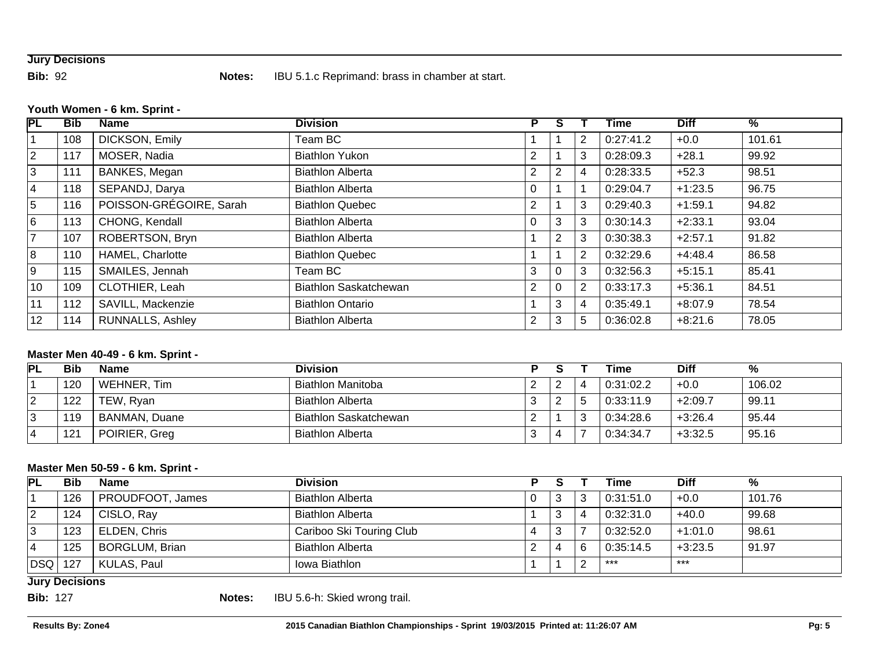# **Jury Decisions**

**Bib:** 92 **Notes:** IBU 5.1.c Reprimand: brass in chamber at start.

#### **Youth Women - 6 km. Sprint -**

| <b>PL</b>      | <b>Bib</b> | <b>Name</b>             | <b>Division</b>         | P              | s              |                | <b>Time</b> | <b>Diff</b> | $\frac{9}{6}$ |
|----------------|------------|-------------------------|-------------------------|----------------|----------------|----------------|-------------|-------------|---------------|
|                | 108        | DICKSON, Emily          | Team BC                 |                |                | 2              | 0:27:41.2   | $+0.0$      | 101.61        |
| $\overline{2}$ | 117        | MOSER, Nadia            | <b>Biathlon Yukon</b>   | $\overline{2}$ |                | 3              | 0:28:09.3   | $+28.1$     | 99.92         |
| 3              | 111        | BANKES, Megan           | <b>Biathlon Alberta</b> | $\overline{2}$ | 2              | 4              | 0:28:33.5   | $+52.3$     | 98.51         |
| 4              | 118        | SEPANDJ, Darya          | <b>Biathlon Alberta</b> | 0              |                |                | 0:29:04.7   | $+1:23.5$   | 96.75         |
| 5              | 116        | POISSON-GRÉGOIRE, Sarah | <b>Biathlon Quebec</b>  | $\overline{2}$ |                | 3              | 0:29:40.3   | $+1:59.1$   | 94.82         |
| 6              | 113        | CHONG, Kendall          | <b>Biathlon Alberta</b> | 0              | 3              | 3              | 0:30:14.3   | $+2:33.1$   | 93.04         |
| $\overline{7}$ | 107        | ROBERTSON, Bryn         | <b>Biathlon Alberta</b> |                | $\overline{2}$ | 3              | 0:30:38.3   | $+2:57.1$   | 91.82         |
| 8              | 110        | HAMEL, Charlotte        | <b>Biathlon Quebec</b>  |                |                | $\overline{2}$ | 0:32:29.6   | $+4:48.4$   | 86.58         |
| 9              | 115        | SMAILES, Jennah         | Team BC                 | 3              | $\Omega$       | 3              | 0:32:56.3   | $+5:15.1$   | 85.41         |
| 10             | 109        | CLOTHIER, Leah          | Biathlon Saskatchewan   | $\overline{2}$ | $\Omega$       | $\overline{2}$ | 0:33:17.3   | $+5:36.1$   | 84.51         |
| 11             | 112        | SAVILL, Mackenzie       | <b>Biathlon Ontario</b> |                | 3              | 4              | 0:35:49.1   | $+8:07.9$   | 78.54         |
| 12             | 114        | RUNNALLS, Ashley        | <b>Biathlon Alberta</b> | 2              | 3              | 5              | 0:36:02.8   | $+8:21.6$   | 78.05         |

# **Master Men 40-49 - 6 km. Sprint -**

| PL       | Bib | <b>Name</b>   | <b>Division</b>              |        |  | Time      | <b>Diff</b> | %      |
|----------|-----|---------------|------------------------------|--------|--|-----------|-------------|--------|
|          | 120 | WEHNER, Tim   | Biathlon Manitoba            | 2      |  | 0:31:02.2 | $+0.0$      | 106.02 |
| <u>L</u> | 122 | TEW, Ryan     | <b>Biathlon Alberta</b>      | າ<br>Ñ |  | 0:33:11.9 | $+2:09.7$   | 99.11  |
|          | 119 | BANMAN, Duane | <b>Biathlon Saskatchewan</b> | ∠      |  | 0:34:28.6 | $+3:26.4$   | 95.44  |
|          | 121 | POIRIER, Greg | <b>Biathlon Alberta</b>      | З      |  | 0:34:34.7 | $+3:32.5$   | 95.16  |

### **Master Men 50-59 - 6 km. Sprint -**

| $\overline{P}$ | <b>Bib</b> | <b>Name</b>           | <b>Division</b>          |                |  | Time      | <b>Diff</b> | %      |
|----------------|------------|-----------------------|--------------------------|----------------|--|-----------|-------------|--------|
|                | 126        | PROUDFOOT, James      | <b>Biathlon Alberta</b>  |                |  | 0:31:51.0 | $+0.0$      | 101.76 |
| 2              | 124        | CISLO, Ray            | <b>Biathlon Alberta</b>  |                |  | 0:32:31.0 | $+40.0$     | 99.68  |
| Ι3             | 123        | ELDEN, Chris          | Cariboo Ski Touring Club | $\overline{ }$ |  | 0:32:52.0 | $+1:01.0$   | 98.61  |
|                | 125        | <b>BORGLUM, Brian</b> | <b>Biathlon Alberta</b>  |                |  | 0:35:14.5 | $+3:23.5$   | 91.97  |
| DSQ   127      |            | KULAS, Paul           | Iowa Biathlon            |                |  | ***       | $***$       |        |

### **Jury Decisions**

**Bib:** 127 **Notes:** IBU 5.6-h: Skied wrong trail.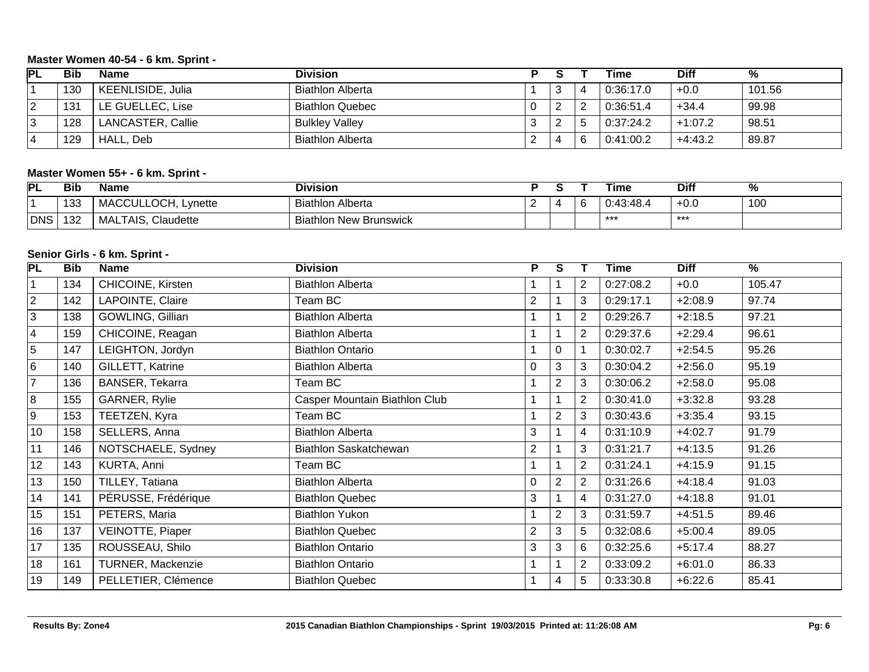### **Master Women 40-54 - 6 km. Sprint -**

| 'PL    | Bib | <b>Name</b>              | <b>Division</b>         |          |   | Time      | Diff      | %      |
|--------|-----|--------------------------|-------------------------|----------|---|-----------|-----------|--------|
|        | 130 | <b>KEENLISIDE, Julia</b> | <b>Biathlon Alberta</b> |          | ັ | 0:36:17.0 | $+0.0$    | 101.56 |
| 2      | 131 | LE GUELLEC, Lise         | <b>Biathlon Quebec</b>  | 0        |   | 0:36:51.4 | $+34.4$   | 99.98  |
| $\sim$ | 128 | LANCASTER, Callie        | <b>Bulkley Valley</b>   | 3        |   | 0:37:24.2 | $+1:07.2$ | 98.51  |
| 4      | 129 | HALL, Deb                | <b>Biathlon Alberta</b> | <u>_</u> | ▵ | 0:41:00.2 | $+4:43.2$ | 89.87  |

# **Master Women 55+ - 6 km. Sprint -**

| PL  | Bib | Name                   | Division                      |   | Time           | Dif    |                   |
|-----|-----|------------------------|-------------------------------|---|----------------|--------|-------------------|
|     | 133 | MACCULLOCH,<br>Lynette | <b>Biathlon Alberta</b>       | P | 43:48.4<br>0:4 | $+0.0$ | $\sqrt{2}$<br>ιυυ |
| DNS | 132 | Claudette<br>MALTAIS,  | <b>Biathlon New Brunswick</b> |   | ***            | ***    |                   |

### **Senior Girls - 6 km. Sprint -**

| $\overline{\mathsf{PL}}$ | <b>Bib</b> | <b>Name</b>         | <b>Division</b>               | P              | S.             |                | Time      | <b>Diff</b> | $\overline{\frac{9}{6}}$ |
|--------------------------|------------|---------------------|-------------------------------|----------------|----------------|----------------|-----------|-------------|--------------------------|
| 1                        | 134        | CHICOINE, Kirsten   | <b>Biathlon Alberta</b>       |                |                | $\overline{2}$ | 0:27:08.2 | $+0.0$      | 105.47                   |
| $\overline{2}$           | 142        | LAPOINTE, Claire    | Team BC                       | $\overline{2}$ |                | 3              | 0:29:17.1 | $+2:08.9$   | 97.74                    |
| 3                        | 138        | GOWLING, Gillian    | <b>Biathlon Alberta</b>       |                |                | $\overline{2}$ | 0:29:26.7 | $+2:18.5$   | 97.21                    |
| 4                        | 159        | CHICOINE, Reagan    | <b>Biathlon Alberta</b>       |                |                | $\overline{2}$ | 0:29:37.6 | $+2:29.4$   | 96.61                    |
| 5                        | 147        | LEIGHTON, Jordyn    | <b>Biathlon Ontario</b>       |                | 0              |                | 0:30:02.7 | $+2:54.5$   | 95.26                    |
| 6                        | 140        | GILLETT, Katrine    | <b>Biathlon Alberta</b>       | 0              | 3              | 3              | 0:30:04.2 | $+2:56.0$   | 95.19                    |
| $\overline{7}$           | 136        | BANSER, Tekarra     | Team BC                       |                | $\overline{2}$ | 3              | 0:30:06.2 | $+2:58.0$   | 95.08                    |
| 8                        | 155        | GARNER, Rylie       | Casper Mountain Biathlon Club |                |                | $\overline{2}$ | 0:30:41.0 | $+3:32.8$   | 93.28                    |
| 9                        | 153        | TEETZEN, Kyra       | Team BC                       |                | $\overline{2}$ | 3              | 0:30:43.6 | $+3:35.4$   | 93.15                    |
| 10                       | 158        | SELLERS, Anna       | <b>Biathlon Alberta</b>       | 3              |                | 4              | 0:31:10.9 | $+4:02.7$   | 91.79                    |
| 11                       | 146        | NOTSCHAELE, Sydney  | Biathlon Saskatchewan         | $\overline{2}$ |                | 3              | 0:31:21.7 | $+4:13.5$   | 91.26                    |
| 12                       | 143        | KURTA, Anni         | Team BC                       |                |                | 2              | 0:31:24.1 | $+4:15.9$   | 91.15                    |
| 13                       | 150        | TILLEY, Tatiana     | <b>Biathlon Alberta</b>       | $\Omega$       | 2              | 2              | 0:31:26.6 | $+4:18.4$   | 91.03                    |
| 14                       | 141        | PÉRUSSE, Frédérique | <b>Biathlon Quebec</b>        | 3              |                | 4              | 0:31:27.0 | $+4:18.8$   | 91.01                    |
| 15                       | 151        | PETERS, Maria       | <b>Biathlon Yukon</b>         |                | $\overline{2}$ | 3              | 0:31:59.7 | $+4:51.5$   | 89.46                    |
| 16                       | 137        | VEINOTTE, Piaper    | <b>Biathlon Quebec</b>        | $\overline{2}$ | 3              | 5              | 0:32:08.6 | $+5:00.4$   | 89.05                    |
| 17                       | 135        | ROUSSEAU, Shilo     | <b>Biathlon Ontario</b>       | 3              | 3              | 6              | 0:32:25.6 | $+5:17.4$   | 88.27                    |
| 18                       | 161        | TURNER, Mackenzie   | <b>Biathlon Ontario</b>       |                |                | 2              | 0:33:09.2 | $+6:01.0$   | 86.33                    |
| 19                       | 149        | PELLETIER, Clémence | <b>Biathlon Quebec</b>        |                | 4              | 5              | 0:33:30.8 | $+6:22.6$   | 85.41                    |